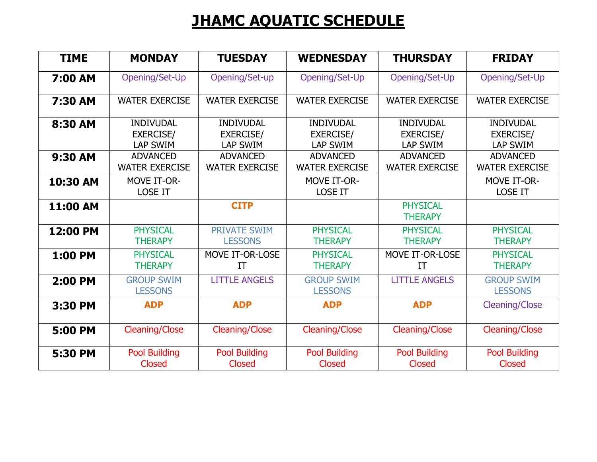## **JHAMC AQUATIC SCHEDULE**

| <b>TIME</b> | <b>MONDAY</b>                                           | <b>TUESDAY</b>                                          | <b>WEDNESDAY</b>                                        | <b>THURSDAY</b>                                         | <b>FRIDAY</b>                                           |
|-------------|---------------------------------------------------------|---------------------------------------------------------|---------------------------------------------------------|---------------------------------------------------------|---------------------------------------------------------|
| 7:00 AM     | Opening/Set-Up                                          | Opening/Set-up                                          | Opening/Set-Up                                          | Opening/Set-Up                                          | Opening/Set-Up                                          |
| 7:30 AM     | <b>WATER EXERCISE</b>                                   | <b>WATER EXERCISE</b>                                   | <b>WATER EXERCISE</b>                                   | <b>WATER EXERCISE</b>                                   | <b>WATER EXERCISE</b>                                   |
| 8:30 AM     | <b>INDIVUDAL</b><br><b>EXERCISE/</b><br><b>LAP SWIM</b> | <b>INDIVUDAL</b><br><b>EXERCISE/</b><br><b>LAP SWIM</b> | <b>INDIVUDAL</b><br><b>EXERCISE/</b><br><b>LAP SWIM</b> | <b>INDIVUDAL</b><br><b>EXERCISE/</b><br><b>LAP SWIM</b> | <b>INDIVUDAL</b><br><b>EXERCISE/</b><br><b>LAP SWIM</b> |
| 9:30 AM     | <b>ADVANCED</b><br><b>WATER EXERCISE</b>                | <b>ADVANCED</b><br><b>WATER EXERCISE</b>                | <b>ADVANCED</b><br><b>WATER EXERCISE</b>                | <b>ADVANCED</b><br><b>WATER EXERCISE</b>                | <b>ADVANCED</b><br><b>WATER EXERCISE</b>                |
| 10:30 AM    | <b>MOVE IT-OR-</b><br><b>LOSE IT</b>                    |                                                         | <b>MOVE IT-OR-</b><br><b>LOSE IT</b>                    |                                                         | <b>MOVE IT-OR-</b><br><b>LOSE IT</b>                    |
| 11:00 AM    |                                                         | <b>CITP</b>                                             |                                                         | <b>PHYSICAL</b><br><b>THERAPY</b>                       |                                                         |
| 12:00 PM    | <b>PHYSICAL</b><br><b>THERAPY</b>                       | <b>PRIVATE SWIM</b><br><b>LESSONS</b>                   | <b>PHYSICAL</b><br><b>THERAPY</b>                       | <b>PHYSICAL</b><br><b>THERAPY</b>                       | <b>PHYSICAL</b><br><b>THERAPY</b>                       |
| 1:00 PM     | <b>PHYSICAL</b><br><b>THERAPY</b>                       | MOVE IT-OR-LOSE<br>ΙT                                   | <b>PHYSICAL</b><br><b>THERAPY</b>                       | MOVE IT-OR-LOSE<br>ΙT                                   | <b>PHYSICAL</b><br><b>THERAPY</b>                       |
| 2:00 PM     | <b>GROUP SWIM</b><br><b>LESSONS</b>                     | <b>LITTLE ANGELS</b>                                    | <b>GROUP SWIM</b><br><b>LESSONS</b>                     | <b>LITTLE ANGELS</b>                                    | <b>GROUP SWIM</b><br><b>LESSONS</b>                     |
| 3:30 PM     | <b>ADP</b>                                              | <b>ADP</b>                                              | <b>ADP</b>                                              | <b>ADP</b>                                              | <b>Cleaning/Close</b>                                   |
| 5:00 PM     | <b>Cleaning/Close</b>                                   | <b>Cleaning/Close</b>                                   | <b>Cleaning/Close</b>                                   | <b>Cleaning/Close</b>                                   | <b>Cleaning/Close</b>                                   |
| 5:30 PM     | <b>Pool Building</b><br><b>Closed</b>                   | <b>Pool Building</b><br>Closed                          | <b>Pool Building</b><br><b>Closed</b>                   | <b>Pool Building</b><br>Closed                          | <b>Pool Building</b><br>Closed                          |